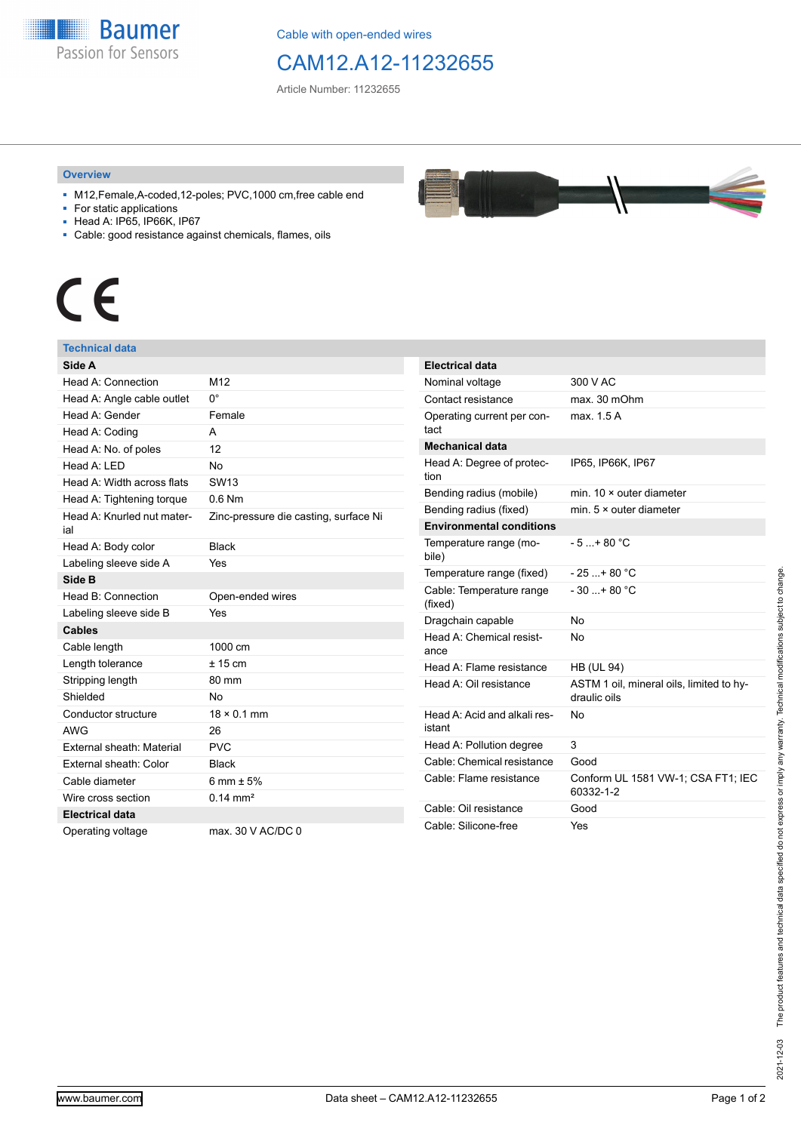

Cable with open-ended wires

### CAM12.A12-11232655

Article Number: 11232655

#### **Overview**

- M12,Female,A-coded,12-poles; PVC,1000 cm,free cable end
- For static applications
- Head A: IP65, IP66K, IP67
- Cable: good resistance against chemicals, flames, oils

# $\epsilon$

### **Technical data**

| Side A                            |                                       |
|-----------------------------------|---------------------------------------|
| Head A: Connection                | M12                                   |
| Head A: Angle cable outlet        | 0°                                    |
| Head A: Gender                    | Female                                |
| Head A: Coding                    | A                                     |
| Head A: No. of poles              | 12                                    |
| Head A: I FD                      | No                                    |
| Head A: Width across flats        | SW <sub>13</sub>                      |
| Head A: Tightening torque         | $0.6$ Nm                              |
| Head A: Knurled nut mater-<br>ial | Zinc-pressure die casting, surface Ni |
| Head A: Body color                | <b>Black</b>                          |
| Labeling sleeve side A            | Yes                                   |
| Side B                            |                                       |
| Head B: Connection                | Open-ended wires                      |
| Labeling sleeve side B            | Yes                                   |
| <b>Cables</b>                     |                                       |
| Cable length                      | 1000 cm                               |
| Length tolerance                  | ± 15 cm                               |
| Stripping length                  | 80 mm                                 |
| Shielded                          | <b>No</b>                             |
| Conductor structure               | $18 \times 0.1$ mm                    |
| <b>AWG</b>                        | 26                                    |
| External sheath: Material         | <b>PVC</b>                            |
| External sheath: Color            | <b>Black</b>                          |
| Cable diameter                    | 6 mm $\pm$ 5%                         |
| Wire cross section                | $0.14 \text{ mm}^2$                   |
| <b>Electrical data</b>            |                                       |
| Operating voltage                 | max, 30 V AC/DC 0                     |

| <b>Electrical data</b>                 |                                                          |  |  |
|----------------------------------------|----------------------------------------------------------|--|--|
| Nominal voltage                        | 300 V AC                                                 |  |  |
| Contact resistance                     | max. 30 mOhm                                             |  |  |
| Operating current per con-<br>tact     | max. 1.5 A                                               |  |  |
| Mechanical data                        |                                                          |  |  |
| Head A: Degree of protec-<br>tion      | IP65, IP66K, IP67                                        |  |  |
| Bending radius (mobile)                | min. $10 \times$ outer diameter                          |  |  |
| Bending radius (fixed)                 | min. $5 \times$ outer diameter                           |  |  |
| <b>Environmental conditions</b>        |                                                          |  |  |
| Temperature range (mo-<br>bile)        | $-5 + 80 °C$                                             |  |  |
| Temperature range (fixed)              | $-25+80 °C$                                              |  |  |
| Cable: Temperature range<br>(fixed)    | $-30$ + 80 °C                                            |  |  |
| Dragchain capable                      | No                                                       |  |  |
| Head A: Chemical resist-<br>ance       | No                                                       |  |  |
| Head A: Flame resistance               | <b>HB (UL 94)</b>                                        |  |  |
| Head A: Oil resistance                 | ASTM 1 oil, mineral oils, limited to hy-<br>draulic oils |  |  |
| Head A: Acid and alkali res-<br>istant | No                                                       |  |  |
| Head A: Pollution degree               | 3                                                        |  |  |
| Cable: Chemical resistance             | Good                                                     |  |  |
| Cable: Flame resistance                | Conform UL 1581 VW-1; CSA FT1; IEC<br>60332-1-2          |  |  |
| Cable: Oil resistance                  | Good                                                     |  |  |
| Cable: Silicone-free                   | Yes                                                      |  |  |